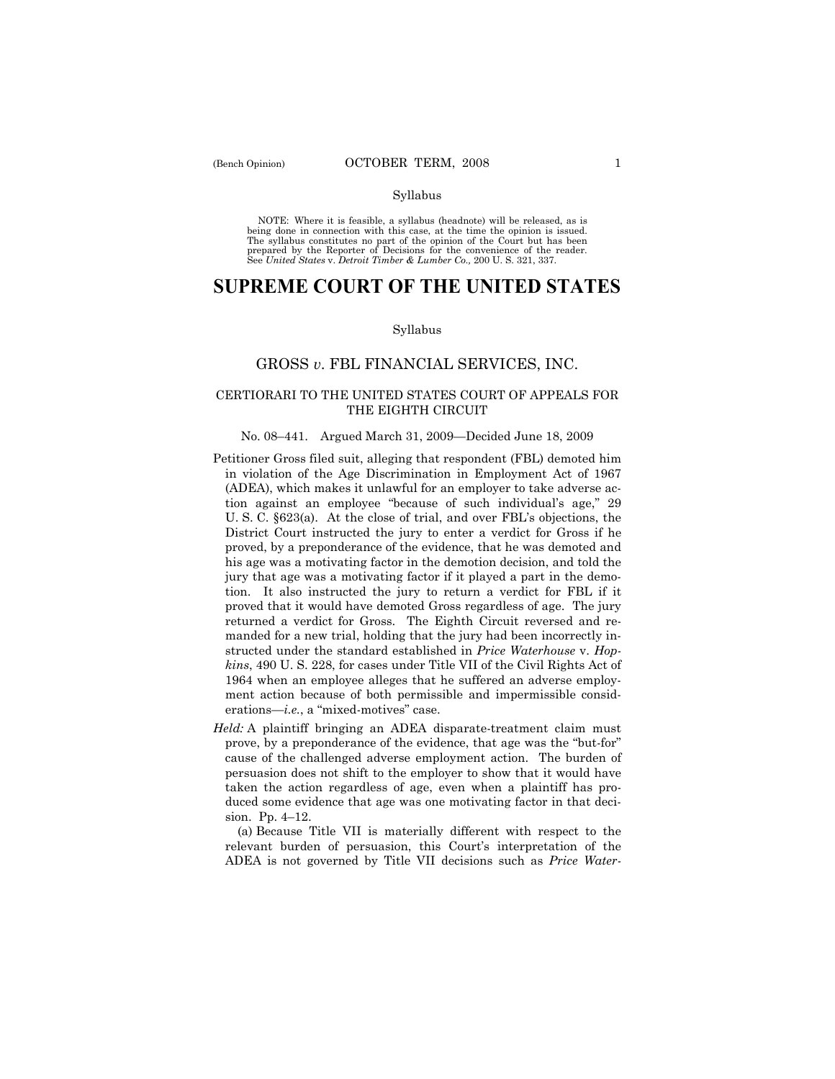#### Syllabus

NOTE: Where it is feasible, a syllabus (headnote) will be released, as is being done in connection with this case, at the time the opinion is issued. The syllabus constitutes no part of the opinion of the Court but has been<br>prepared by the Reporter of Decisions for the convenience of the reader.<br>See United States v. Detroit Timber & Lumber Co., 200 U. S. 321, 337.

# **SUPREME COURT OF THE UNITED STATES**

#### Syllabus

## GROSS *v*. FBL FINANCIAL SERVICES, INC.

## CERTIORARI TO THE UNITED STATES COURT OF APPEALS FOR THE EIGHTH CIRCUIT

### No. 08–441. Argued March 31, 2009—Decided June 18, 2009

- Petitioner Gross filed suit, alleging that respondent (FBL) demoted him in violation of the Age Discrimination in Employment Act of 1967 (ADEA), which makes it unlawful for an employer to take adverse action against an employee "because of such individual's age," 29 U. S. C. §623(a). At the close of trial, and over FBL's objections, the District Court instructed the jury to enter a verdict for Gross if he proved, by a preponderance of the evidence, that he was demoted and his age was a motivating factor in the demotion decision, and told the jury that age was a motivating factor if it played a part in the demotion. It also instructed the jury to return a verdict for FBL if it proved that it would have demoted Gross regardless of age. The jury returned a verdict for Gross. The Eighth Circuit reversed and remanded for a new trial, holding that the jury had been incorrectly instructed under the standard established in *Price Waterhouse* v. *Hopkins*, 490 U. S. 228, for cases under Title VII of the Civil Rights Act of 1964 when an employee alleges that he suffered an adverse employment action because of both permissible and impermissible considerations—*i.e.*, a "mixed-motives" case.
- *Held:* A plaintiff bringing an ADEA disparate-treatment claim must prove, by a preponderance of the evidence, that age was the "but-for" cause of the challenged adverse employment action. The burden of persuasion does not shift to the employer to show that it would have taken the action regardless of age, even when a plaintiff has produced some evidence that age was one motivating factor in that decision. Pp. 4–12.

 (a) Because Title VII is materially different with respect to the relevant burden of persuasion, this Court's interpretation of the ADEA is not governed by Title VII decisions such as *Price Water-*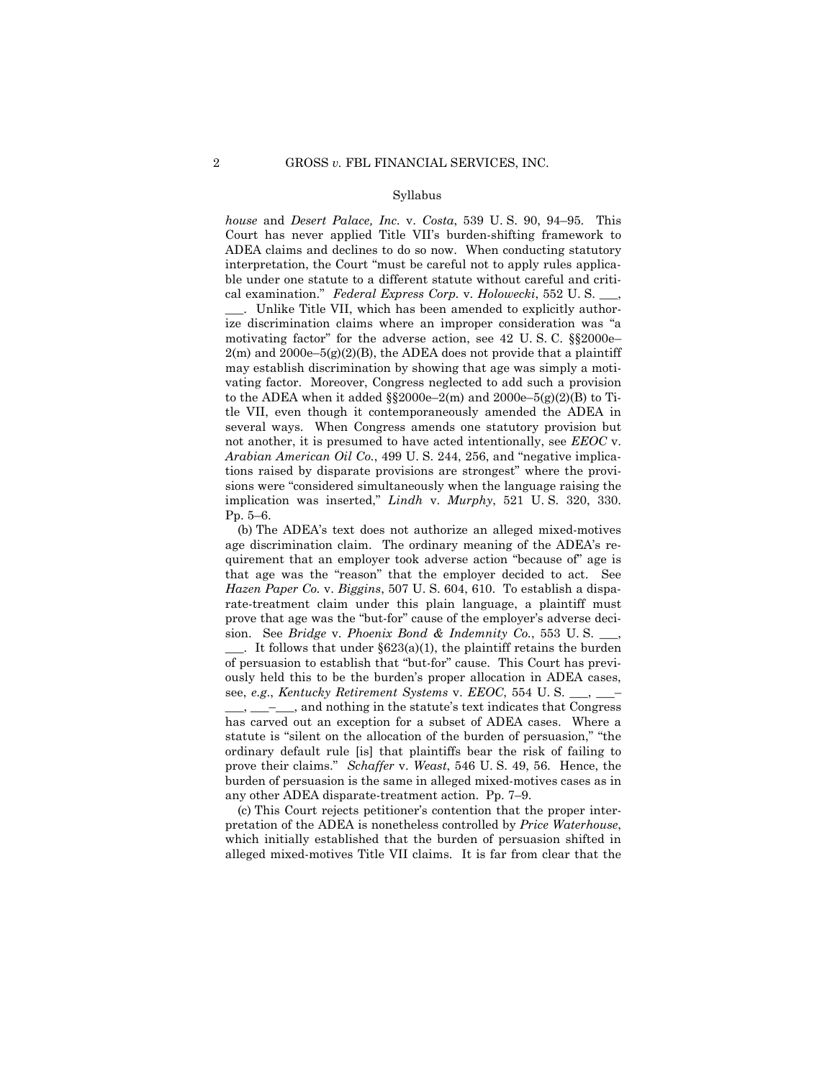#### Syllabus

*house* and *Desert Palace, Inc.* v. *Costa*, 539 U. S. 90, 94–95. This Court has never applied Title VII's burden-shifting framework to ADEA claims and declines to do so now. When conducting statutory interpretation, the Court "must be careful not to apply rules applicable under one statute to a different statute without careful and critical examination." *Federal Express Corp.* v. *Holowecki*, 552 U. S. \_\_\_,

. Unlike Title VII, which has been amended to explicitly authorize discrimination claims where an improper consideration was "a motivating factor" for the adverse action, see 42 U. S. C. §§2000e–  $2(m)$  and  $2000e-5(g)(2)(B)$ , the ADEA does not provide that a plaintiff may establish discrimination by showing that age was simply a motivating factor. Moreover, Congress neglected to add such a provision to the ADEA when it added  $\S$  $2000e-2(m)$  and  $2000e-5(g)(2)(B)$  to Title VII, even though it contemporaneously amended the ADEA in several ways. When Congress amends one statutory provision but not another, it is presumed to have acted intentionally, see *EEOC* v. *Arabian American Oil Co.*, 499 U. S. 244, 256, and "negative implications raised by disparate provisions are strongest" where the provisions were "considered simultaneously when the language raising the implication was inserted," *Lindh* v. *Murphy*, 521 U. S. 320, 330. Pp. 5–6.

 (b) The ADEA's text does not authorize an alleged mixed-motives age discrimination claim. The ordinary meaning of the ADEA's requirement that an employer took adverse action "because of" age is that age was the "reason" that the employer decided to act. See *Hazen Paper Co.* v. *Biggins*, 507 U. S. 604, 610. To establish a disparate-treatment claim under this plain language, a plaintiff must prove that age was the "but-for" cause of the employer's adverse decision. See *Bridge* v. *Phoenix Bond & Indemnity Co.*, 553 U. S. \_\_\_,

 $\Box$ . It follows that under §623(a)(1), the plaintiff retains the burden of persuasion to establish that "but-for" cause. This Court has previously held this to be the burden's proper allocation in ADEA cases, see, *e.g*., *Kentucky Retirement Systems* v. *EEOC*, 554 U. S. \_\_\_, \_\_\_–

\_\_\_, \_\_\_–\_\_\_, and nothing in the statute's text indicates that Congress has carved out an exception for a subset of ADEA cases. Where a statute is "silent on the allocation of the burden of persuasion," "the ordinary default rule [is] that plaintiffs bear the risk of failing to prove their claims." *Schaffer* v. *Weast*, 546 U. S. 49, 56. Hence, the burden of persuasion is the same in alleged mixed-motives cases as in any other ADEA disparate-treatment action. Pp. 7–9.

 (c) This Court rejects petitioner's contention that the proper interpretation of the ADEA is nonetheless controlled by *Price Waterhouse*, which initially established that the burden of persuasion shifted in alleged mixed-motives Title VII claims. It is far from clear that the